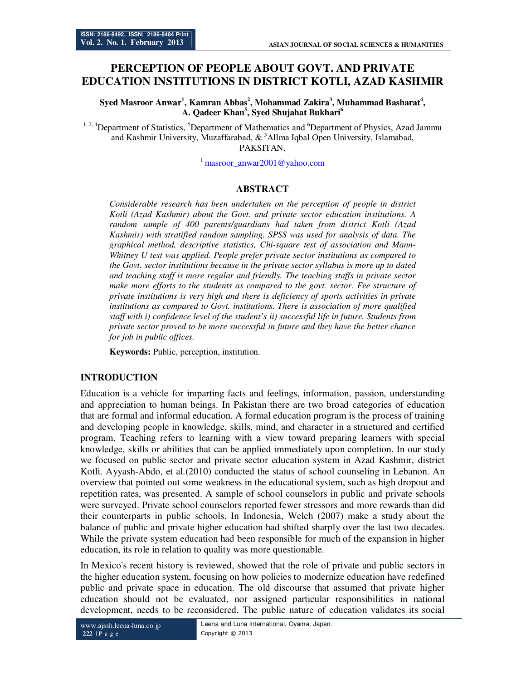# **PERCEPTION OF PEOPLE ABOUT GOVT. AND PRIVATE EDUCATION INSTITUTIONS IN DISTRICT KOTLI, AZAD KASHMIR**

**Syed Masroor Anwar<sup>1</sup> , Kamran Abbas<sup>2</sup> , Mohammad Zakira<sup>3</sup> , Muhammad Basharat<sup>4</sup> , A. Qadeer Khan<sup>5</sup> , Syed Shujahat Bukhari<sup>6</sup>**

<sup>1, 2, 4</sup>Department of Statistics, <sup>5</sup>Department of Mathematics and <sup>6</sup>Department of Physics, Azad Jammu and Kashmir University, Muzaffarabad,  $\&$  <sup>3</sup>Allma Iqbal Open University, Islamabad, PAKSITAN.

 $^1$  masroor anwar2001@yahoo.com

# **ABSTRACT**

*Considerable research has been undertaken on the perception of people in district Kotli (Azad Kashmir) about the Govt. and private sector education institutions. A random sample of 400 parents/guardians had taken from district Kotli (Azad Kashmir) with stratified random sampling. SPSS was used for analysis of data. The graphical method, descriptive statistics, Chi-square test of association and Mann-Whitney U test was applied. People prefer private sector institutions as compared to the Govt. sector institutions because in the private sector syllabus is more up to dated and teaching staff is more regular and friendly. The teaching staffs in private sector make more efforts to the students as compared to the govt. sector. Fee structure of private institutions is very high and there is deficiency of sports activities in private institutions as compared to Govt. institutions. There is association of more qualified staff with i) confidence level of the student's ii) successful life in future. Students from private sector proved to be more successful in future and they have the better chance for job in public offices.* 

**Keywords:** Public, perception, institution.

## **INTRODUCTION**

Education is a vehicle for imparting facts and feelings, information, passion, understanding and appreciation to human beings. In Pakistan there are two broad categories of education that are formal and informal education. A formal education program is the process of training and developing people in knowledge, skills, mind, and character in a structured and certified program. Teaching refers to learning with a view toward preparing learners with special knowledge, skills or abilities that can be applied immediately upon completion. In our study we focused on public sector and private sector education system in Azad Kashmir, district Kotli. Ayyash-Abdo, et al.(2010) conducted the status of school counseling in Lebanon. An overview that pointed out some weakness in the educational system, such as high dropout and repetition rates, was presented. A sample of school counselors in public and private schools were surveyed. Private school counselors reported fewer stressors and more rewards than did their counterparts in public schools. In Indonesia, Welch (2007) make a study about the balance of public and private higher education had shifted sharply over the last two decades. While the private system education had been responsible for much of the expansion in higher education, its role in relation to quality was more questionable.

In Mexico's recent history is reviewed, showed that the role of private and public sectors in the higher education system, focusing on how policies to modernize education have redefined public and private space in education. The old discourse that assumed that private higher education should not be evaluated, nor assigned particular responsibilities in national development, needs to be reconsidered. The public nature of education validates its social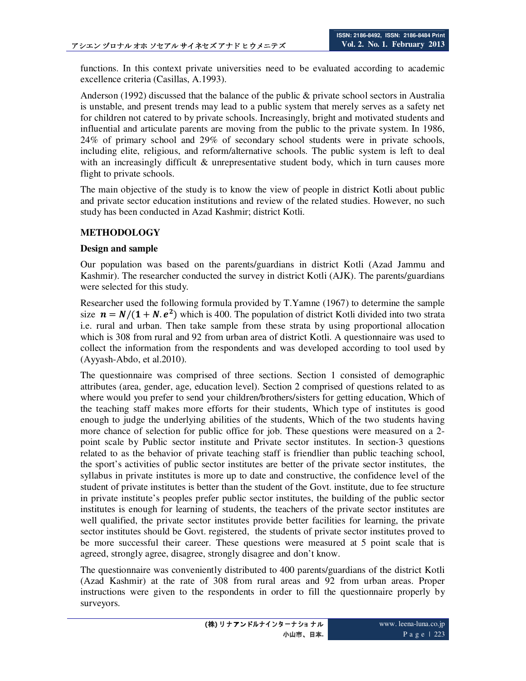functions. In this context private universities need to be evaluated according to academic excellence criteria (Casillas, A.1993).

Anderson (1992) discussed that the balance of the public & private school sectors in Australia is unstable, and present trends may lead to a public system that merely serves as a safety net for children not catered to by private schools. Increasingly, bright and motivated students and influential and articulate parents are moving from the public to the private system. In 1986, 24% of primary school and 29% of secondary school students were in private schools, including elite, religious, and reform/alternative schools. The public system is left to deal with an increasingly difficult & unrepresentative student body, which in turn causes more flight to private schools.

The main objective of the study is to know the view of people in district Kotli about public and private sector education institutions and review of the related studies. However, no such study has been conducted in Azad Kashmir; district Kotli.

## **METHODOLOGY**

## **Design and sample**

Our population was based on the parents/guardians in district Kotli (Azad Jammu and Kashmir). The researcher conducted the survey in district Kotli (AJK). The parents/guardians were selected for this study.

Researcher used the following formula provided by T.Yamne (1967) to determine the sample size  $n = N/(1 + N.e^2)$  which is 400. The population of district Kotli divided into two strata i.e. rural and urban. Then take sample from these strata by using proportional allocation which is 308 from rural and 92 from urban area of district Kotli. A questionnaire was used to collect the information from the respondents and was developed according to tool used by (Ayyash-Abdo, et al.2010).

The questionnaire was comprised of three sections. Section 1 consisted of demographic attributes (area, gender, age, education level). Section 2 comprised of questions related to as where would you prefer to send your children/brothers/sisters for getting education, Which of the teaching staff makes more efforts for their students, Which type of institutes is good enough to judge the underlying abilities of the students, Which of the two students having more chance of selection for public office for job. These questions were measured on a 2 point scale by Public sector institute and Private sector institutes. In section-3 questions related to as the behavior of private teaching staff is friendlier than public teaching school, the sport's activities of public sector institutes are better of the private sector institutes, the syllabus in private institutes is more up to date and constructive, the confidence level of the student of private institutes is better than the student of the Govt. institute, due to fee structure in private institute's peoples prefer public sector institutes, the building of the public sector institutes is enough for learning of students, the teachers of the private sector institutes are well qualified, the private sector institutes provide better facilities for learning, the private sector institutes should be Govt. registered, the students of private sector institutes proved to be more successful their career. These questions were measured at 5 point scale that is agreed, strongly agree, disagree, strongly disagree and don't know.

The questionnaire was conveniently distributed to 400 parents/guardians of the district Kotli (Azad Kashmir) at the rate of 308 from rural areas and 92 from urban areas. Proper instructions were given to the respondents in order to fill the questionnaire properly by surveyors.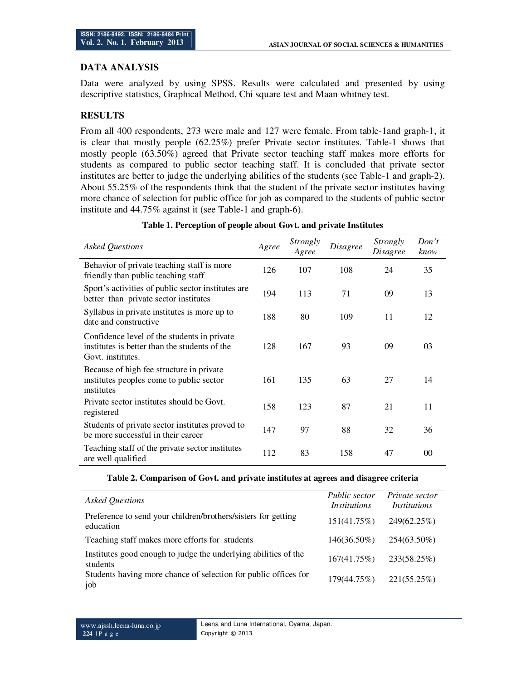## **DATA ANALYSIS**

Data were analyzed by using SPSS. Results were calculated and presented by using descriptive statistics, Graphical Method, Chi square test and Maan whitney test.

# **RESULTS**

From all 400 respondents, 273 were male and 127 were female. From table-1and graph-1, it is clear that mostly people (62.25%) prefer Private sector institutes. Table-1 shows that mostly people (63.50%) agreed that Private sector teaching staff makes more efforts for students as compared to public sector teaching staff. It is concluded that private sector institutes are better to judge the underlying abilities of the students (see Table-1 and graph-2). About 55.25% of the respondents think that the student of the private sector institutes having more chance of selection for public office for job as compared to the students of public sector institute and 44.75% against it (see Table-1 and graph-6).

| <b>Asked Questions</b>                                                                                            | Agree | Strongly<br>Agree | <i>Disagree</i> | Strongly<br>Disagree | Don't<br>know   |
|-------------------------------------------------------------------------------------------------------------------|-------|-------------------|-----------------|----------------------|-----------------|
| Behavior of private teaching staff is more<br>friendly than public teaching staff                                 | 126   | 107               | 108             | 24                   | 35              |
| Sport's activities of public sector institutes are<br>better than private sector institutes                       | 194   | 113               | 71              | 09                   | 13              |
| Syllabus in private institutes is more up to<br>date and constructive                                             | 188   | 80                | 109             | 11                   | 12              |
| Confidence level of the students in private<br>institutes is better than the students of the<br>Govt. institutes. | 128   | 167               | 93              | 09                   | 03              |
| Because of high fee structure in private<br>institutes peoples come to public sector<br>institutes                | 161   | 135               | 63              | 27                   | 14              |
| Private sector institutes should be Govt.<br>registered                                                           | 158   | 123               | 87              | 21                   | 11              |
| Students of private sector institutes proved to<br>be more successful in their career                             | 147   | 97                | 88              | 32                   | 36              |
| Teaching staff of the private sector institutes<br>are well qualified                                             | 112   | 83                | 158             | 47                   | 00 <sup>1</sup> |

### **Table 1. Perception of people about Govt. and private Institutes**

|  | Table 2. Comparison of Govt. and private institutes at agrees and disagree criteria |  |  |
|--|-------------------------------------------------------------------------------------|--|--|
|  |                                                                                     |  |  |

| <b>Asked Questions</b>                                                      | Public sector<br><i>Institutions</i> | Private sector<br>Institutions |
|-----------------------------------------------------------------------------|--------------------------------------|--------------------------------|
| Preference to send your children/brothers/sisters for getting<br>education  | 151(41.75%)                          | 249(62.25%)                    |
| Teaching staff makes more efforts for students                              | $146(36.50\%)$                       | 254(63.50%)                    |
| Institutes good enough to judge the underlying abilities of the<br>students | 167(41.75%)                          | 233(58.25%)                    |
| Students having more chance of selection for public offices for<br>job      | 179(44.75%)                          | 221(55.25%)                    |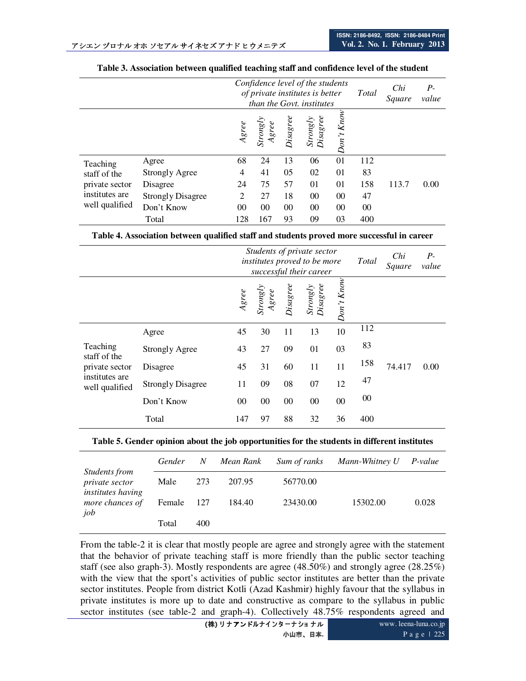|                                                                    |                          | Confidence level of the students<br>of private institutes is better<br>than the Govt. institutes |                                                                    |          |                                                                       | Total          | Chi<br>Square | $P-$<br>value |      |
|--------------------------------------------------------------------|--------------------------|--------------------------------------------------------------------------------------------------|--------------------------------------------------------------------|----------|-----------------------------------------------------------------------|----------------|---------------|---------------|------|
|                                                                    |                          | Agree                                                                                            | $\begin{array}{c} \textit{Strongly} \\ \textit{Agree} \end{array}$ | Disagree | $\begin{array}{l} \textit{Strongly} \\ \textit{Disagree} \end{array}$ | $Don't$ $Know$ |               |               |      |
| Teaching                                                           | Agree                    | 68                                                                                               | 24                                                                 | 13       | 06                                                                    | 01             | 112           |               |      |
| staff of the<br>private sector<br>institutes are<br>well qualified | <b>Strongly Agree</b>    | 4                                                                                                | 41                                                                 | 05       | 02                                                                    | 01             | 83            |               |      |
|                                                                    | Disagree                 | 24                                                                                               | 75                                                                 | 57       | 01                                                                    | 01             | 158           | 113.7         | 0.00 |
|                                                                    | <b>Strongly Disagree</b> | 2                                                                                                | 27                                                                 | 18       | 00                                                                    | $00\,$         | 47            |               |      |
|                                                                    | Don't Know               | 00                                                                                               | 00                                                                 | 00       | 00                                                                    | $00\,$         | $00\,$        |               |      |
|                                                                    | 128                      | 167                                                                                              | 93                                                                 | 09       | 03                                                                    | 400            |               |               |      |

#### **Table 3. Association between qualified teaching staff and confidence level of the student**

**Table 4. Association between qualified staff and students proved more successful in career** 

|                                                                                |                          | Students of private sector<br>institutes proved to be more<br>successful their career |                                                                    |          |                      | Total      | Chi<br>Square | $P-$<br>value |      |
|--------------------------------------------------------------------------------|--------------------------|---------------------------------------------------------------------------------------|--------------------------------------------------------------------|----------|----------------------|------------|---------------|---------------|------|
|                                                                                |                          | $A\mathfrak{g}$ ree                                                                   | $\begin{array}{c} \textit{Strongly} \\ \textit{Agree} \end{array}$ | Disagree | Strongly<br>Disagree | Don't Know |               |               |      |
| Teaching<br>staff of the<br>private sector<br>institutes are<br>well qualified | Agree                    | 45                                                                                    | 30                                                                 | 11       | 13                   | 10         | 112           |               |      |
|                                                                                | <b>Strongly Agree</b>    | 43                                                                                    | 27                                                                 | 09       | 01                   | 03         | 83            |               |      |
|                                                                                | Disagree                 | 45                                                                                    | 31                                                                 | 60       | 11                   | 11         | 158           | 74.417        | 0.00 |
|                                                                                | <b>Strongly Disagree</b> | 11                                                                                    | 09                                                                 | 08       | 07                   | 12         | 47            |               |      |
|                                                                                | Don't Know               | 00                                                                                    | 00                                                                 | 00       | $00\,$               | $00\,$     | $00\,$        |               |      |
|                                                                                | Total                    | 147                                                                                   | 97                                                                 | 88       | 32                   | 36         | 400           |               |      |

#### **Table 5. Gender opinion about the job opportunities for the students in different institutes**

|                                                                    | Gender | N   | Mean Rank | Sum of ranks | Mann-Whitney U | P-value |
|--------------------------------------------------------------------|--------|-----|-----------|--------------|----------------|---------|
| Students from<br><i>private sector</i><br><i>institutes having</i> | Male   | 273 | 207.95    | 56770.00     |                |         |
| more chances of<br>job                                             | Female | 127 | 184.40    | 23430.00     | 15302.00       | 0.028   |
|                                                                    | Total  | 400 |           |              |                |         |

From the table-2 it is clear that mostly people are agree and strongly agree with the statement that the behavior of private teaching staff is more friendly than the public sector teaching staff (see also graph-3). Mostly respondents are agree (48.50%) and strongly agree (28.25%) with the view that the sport's activities of public sector institutes are better than the private sector institutes. People from district Kotli (Azad Kashmir) highly favour that the syllabus in private institutes is more up to date and constructive as compare to the syllabus in public sector institutes (see table-2 and graph-4). Collectively  $48.75\%$  respondents agreed and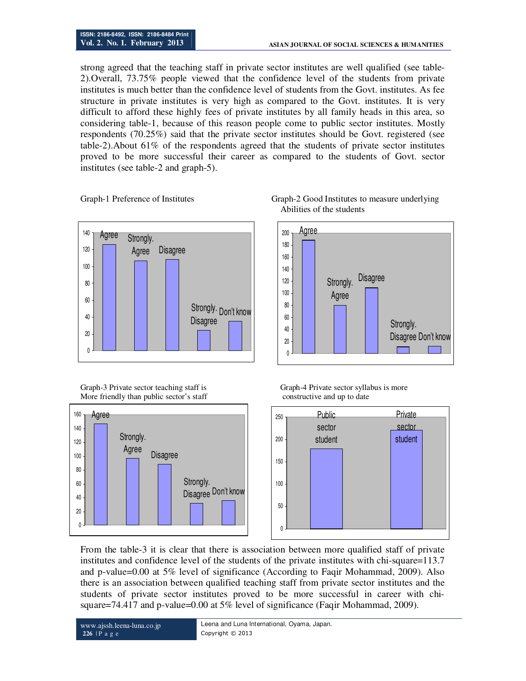strong agreed that the teaching staff in private sector institutes are well qualified (see table-2).Overall, 73.75% people viewed that the confidence level of the students from private institutes is much better than the confidence level of students from the Govt. institutes. As fee structure in private institutes is very high as compared to the Govt. institutes. It is very difficult to afford these highly fees of private institutes by all family heads in this area, so considering table-1, because of this reason people come to public sector institutes. Mostly respondents (70.25%) said that the private sector institutes should be Govt. registered (see table-2).About 61% of the respondents agreed that the students of private sector institutes proved to be more successful their career as compared to the students of Govt. sector institutes (see table-2 and graph-5).



More friendly than public sector's staff constructive and up to date







Graph-3 Private sector teaching staff is Graph-4 Private sector syllabus is more



From the table-3 it is clear that there is association between more qualified staff of private institutes and confidence level of the students of the private institutes with chi-square=113.7 and p-value=0.00 at 5% level of significance (According to Faqir Mohammad, 2009). Also there is an association between qualified teaching staff from private sector institutes and the students of private sector institutes proved to be more successful in career with chisquare=74.417 and p-value=0.00 at 5% level of significance (Faqir Mohammad, 2009).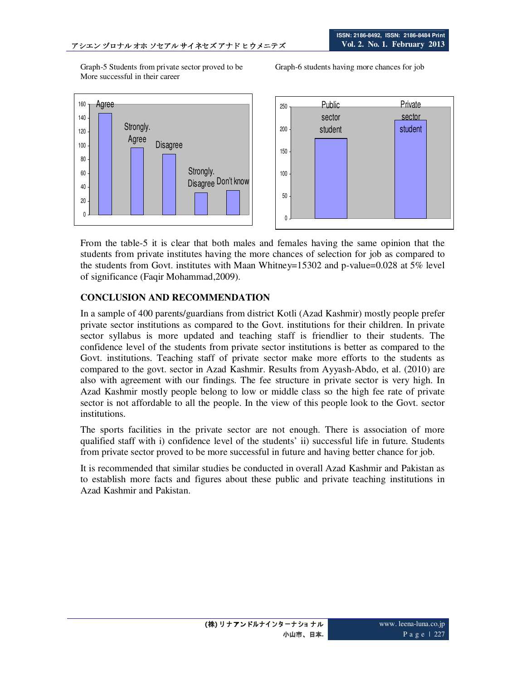Graph-5 Students from private sector proved to be Graph-6 students having more chances for job More successful in their career





From the table-5 it is clear that both males and females having the same opinion that the students from private institutes having the more chances of selection for job as compared to the students from Govt. institutes with Maan Whitney=15302 and p-value=0.028 at  $5\%$  level of significance (Faqir Mohammad,2009).

# **CONCLUSION AND RECOMMENDATION**

In a sample of 400 parents/guardians from district Kotli (Azad Kashmir) mostly people prefer private sector institutions as compared to the Govt. institutions for their children. In private sector syllabus is more updated and teaching staff is friendlier to their students. The confidence level of the students from private sector institutions is better as compared to the Govt. institutions. Teaching staff of private sector make more efforts to the students as compared to the govt. sector in Azad Kashmir. Results from Ayyash-Abdo, et al. (2010) are also with agreement with our findings. The fee structure in private sector is very high. In Azad Kashmir mostly people belong to low or middle class so the high fee rate of private sector is not affordable to all the people. In the view of this people look to the Govt. sector institutions.

The sports facilities in the private sector are not enough. There is association of more qualified staff with i) confidence level of the students' ii) successful life in future. Students from private sector proved to be more successful in future and having better chance for job.

It is recommended that similar studies be conducted in overall Azad Kashmir and Pakistan as to establish more facts and figures about these public and private teaching institutions in Azad Kashmir and Pakistan.